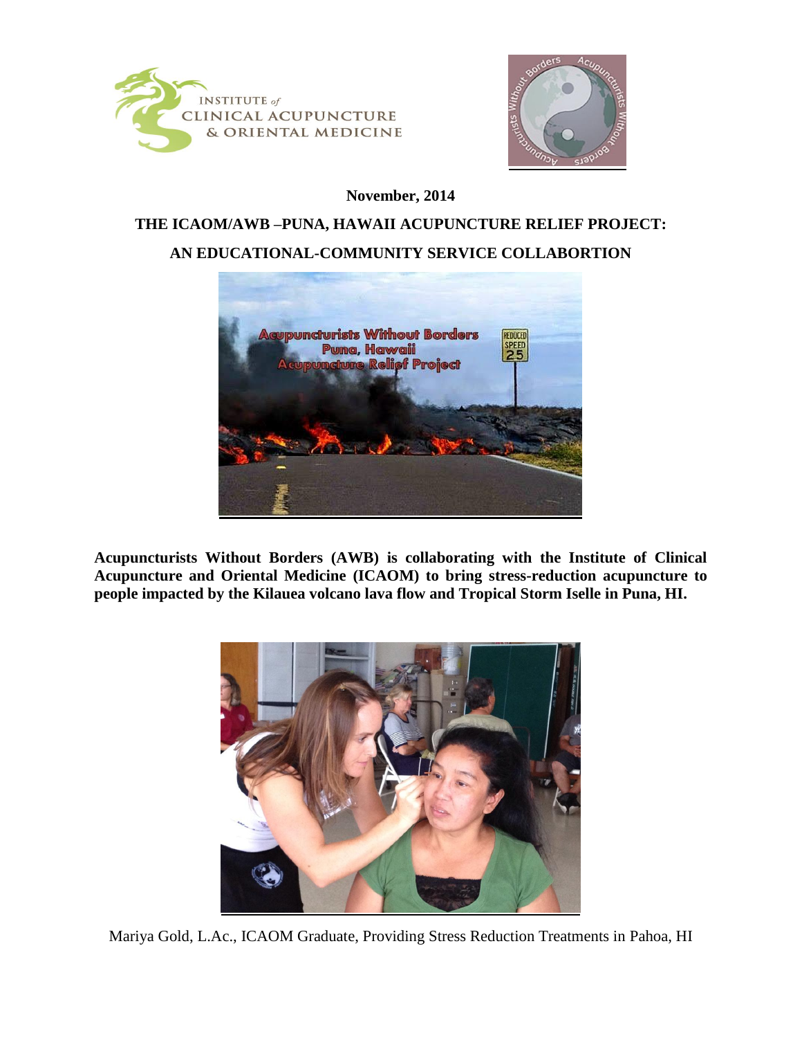



## **November, 2014**

## **THE ICAOM/AWB –PUNA, HAWAII ACUPUNCTURE RELIEF PROJECT: AN EDUCATIONAL-COMMUNITY SERVICE COLLABORTION**



**Acupuncturists Without Borders (AWB) is collaborating with the Institute of Clinical Acupuncture and Oriental Medicine (ICAOM) to bring stress-reduction acupuncture to people impacted by the Kilauea volcano lava flow and Tropical Storm Iselle in Puna, HI.**



Mariya Gold, L.Ac., ICAOM Graduate, Providing Stress Reduction Treatments in Pahoa, HI